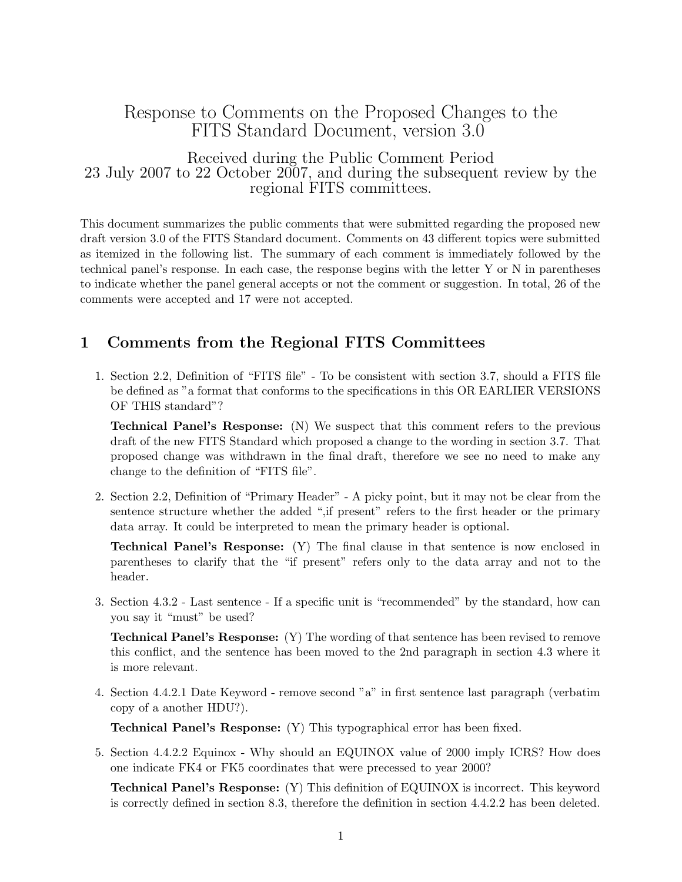## Response to Comments on the Proposed Changes to the FITS Standard Document, version 3.0

Received during the Public Comment Period 23 July 2007 to 22 October 2007, and during the subsequent review by the regional FITS committees.

This document summarizes the public comments that were submitted regarding the proposed new draft version 3.0 of the FITS Standard document. Comments on 43 different topics were submitted as itemized in the following list. The summary of each comment is immediately followed by the technical panel's response. In each case, the response begins with the letter Y or N in parentheses to indicate whether the panel general accepts or not the comment or suggestion. In total, 26 of the comments were accepted and 17 were not accepted.

## 1 Comments from the Regional FITS Committees

1. Section 2.2, Definition of "FITS file" - To be consistent with section 3.7, should a FITS file be defined as "a format that conforms to the specifications in this OR EARLIER VERSIONS OF THIS standard"?

Technical Panel's Response: (N) We suspect that this comment refers to the previous draft of the new FITS Standard which proposed a change to the wording in section 3.7. That proposed change was withdrawn in the final draft, therefore we see no need to make any change to the definition of "FITS file".

2. Section 2.2, Definition of "Primary Header" - A picky point, but it may not be clear from the sentence structure whether the added ",if present" refers to the first header or the primary data array. It could be interpreted to mean the primary header is optional.

Technical Panel's Response: (Y) The final clause in that sentence is now enclosed in parentheses to clarify that the "if present" refers only to the data array and not to the header.

3. Section 4.3.2 - Last sentence - If a specific unit is "recommended" by the standard, how can you say it "must" be used?

Technical Panel's Response: (Y) The wording of that sentence has been revised to remove this conflict, and the sentence has been moved to the 2nd paragraph in section 4.3 where it is more relevant.

4. Section 4.4.2.1 Date Keyword - remove second "a" in first sentence last paragraph (verbatim copy of a another HDU?).

Technical Panel's Response: (Y) This typographical error has been fixed.

5. Section 4.4.2.2 Equinox - Why should an EQUINOX value of 2000 imply ICRS? How does one indicate FK4 or FK5 coordinates that were precessed to year 2000?

Technical Panel's Response: (Y) This definition of EQUINOX is incorrect. This keyword is correctly defined in section 8.3, therefore the definition in section 4.4.2.2 has been deleted.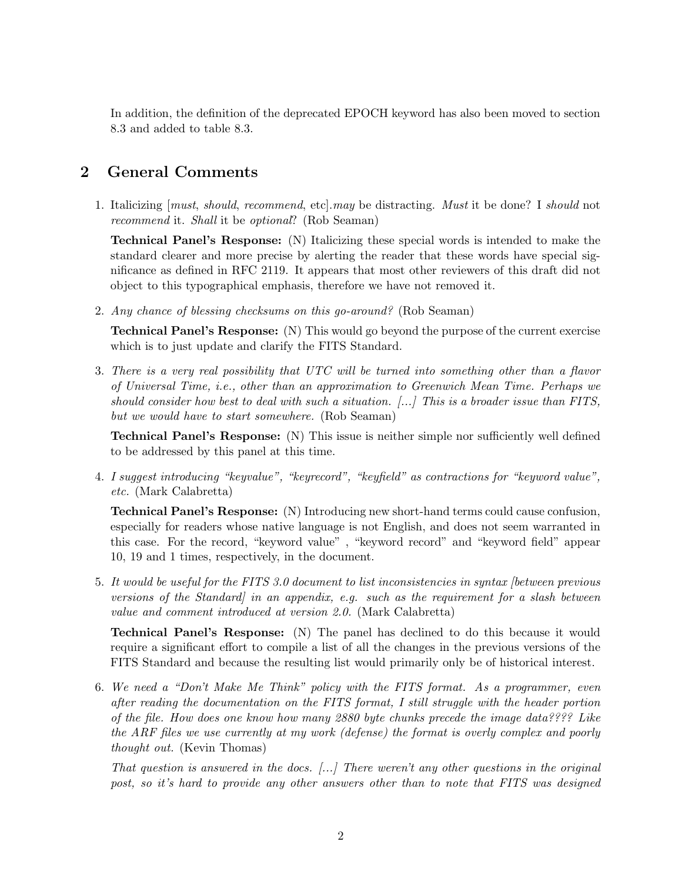In addition, the definition of the deprecated EPOCH keyword has also been moved to section 8.3 and added to table 8.3.

## 2 General Comments

1. Italicizing [must, should, recommend, etc].may be distracting. Must it be done? I should not recommend it. Shall it be optional? (Rob Seaman)

Technical Panel's Response: (N) Italicizing these special words is intended to make the standard clearer and more precise by alerting the reader that these words have special significance as defined in RFC 2119. It appears that most other reviewers of this draft did not object to this typographical emphasis, therefore we have not removed it.

2. Any chance of blessing checksums on this go-around? (Rob Seaman)

Technical Panel's Response: (N) This would go beyond the purpose of the current exercise which is to just update and clarify the FITS Standard.

3. There is a very real possibility that UTC will be turned into something other than a flavor of Universal Time, i.e., other than an approximation to Greenwich Mean Time. Perhaps we should consider how best to deal with such a situation. [...] This is a broader issue than FITS, but we would have to start somewhere. (Rob Seaman)

Technical Panel's Response: (N) This issue is neither simple nor sufficiently well defined to be addressed by this panel at this time.

4. I suggest introducing "keyvalue", "keyrecord", "keyfield" as contractions for "keyword value", etc. (Mark Calabretta)

Technical Panel's Response: (N) Introducing new short-hand terms could cause confusion, especially for readers whose native language is not English, and does not seem warranted in this case. For the record, "keyword value" , "keyword record" and "keyword field" appear 10, 19 and 1 times, respectively, in the document.

5. It would be useful for the FITS 3.0 document to list inconsistencies in syntax [between previous versions of the Standard] in an appendix, e.g. such as the requirement for a slash between value and comment introduced at version 2.0. (Mark Calabretta)

Technical Panel's Response: (N) The panel has declined to do this because it would require a significant effort to compile a list of all the changes in the previous versions of the FITS Standard and because the resulting list would primarily only be of historical interest.

6. We need a "Don't Make Me Think" policy with the FITS format. As a programmer, even after reading the documentation on the FITS format, I still struggle with the header portion of the file. How does one know how many 2880 byte chunks precede the image data???? Like the ARF files we use currently at my work (defense) the format is overly complex and poorly thought out. (Kevin Thomas)

That question is answered in the docs. [...] There weren't any other questions in the original post, so it's hard to provide any other answers other than to note that FITS was designed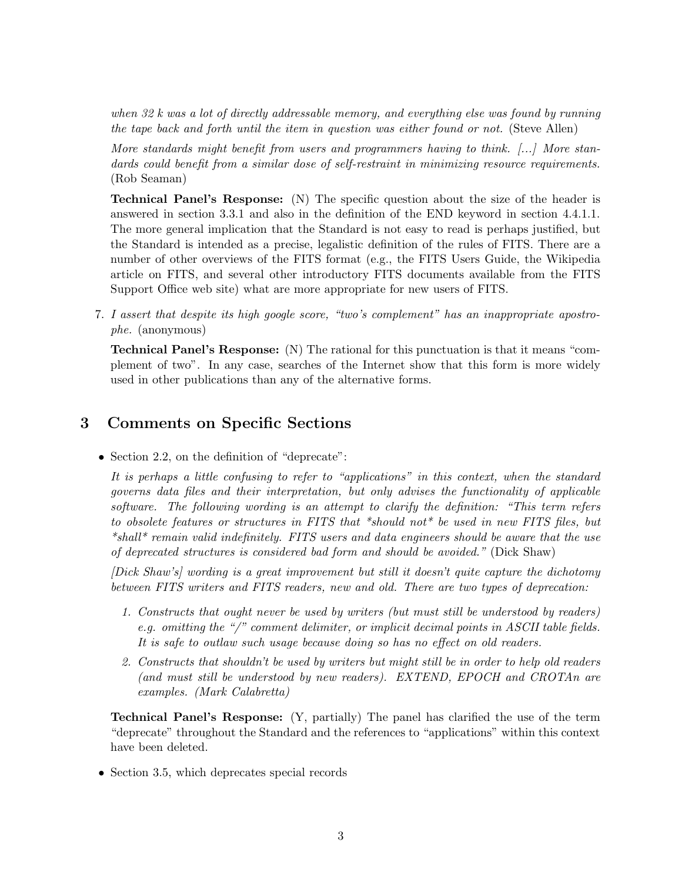when 32 k was a lot of directly addressable memory, and everything else was found by running the tape back and forth until the item in question was either found or not. (Steve Allen)

More standards might benefit from users and programmers having to think. [...] More standards could benefit from a similar dose of self-restraint in minimizing resource requirements. (Rob Seaman)

Technical Panel's Response: (N) The specific question about the size of the header is answered in section 3.3.1 and also in the definition of the END keyword in section 4.4.1.1. The more general implication that the Standard is not easy to read is perhaps justified, but the Standard is intended as a precise, legalistic definition of the rules of FITS. There are a number of other overviews of the FITS format (e.g., the FITS Users Guide, the Wikipedia article on FITS, and several other introductory FITS documents available from the FITS Support Office web site) what are more appropriate for new users of FITS.

7. I assert that despite its high google score, "two's complement" has an inappropriate apostrophe. (anonymous)

Technical Panel's Response: (N) The rational for this punctuation is that it means "complement of two". In any case, searches of the Internet show that this form is more widely used in other publications than any of the alternative forms.

## 3 Comments on Specific Sections

• Section 2.2, on the definition of "deprecate":

It is perhaps a little confusing to refer to "applications" in this context, when the standard governs data files and their interpretation, but only advises the functionality of applicable software. The following wording is an attempt to clarify the definition: "This term refers to obsolete features or structures in FITS that \*should not\* be used in new FITS files, but \*shall\* remain valid indefinitely. FITS users and data engineers should be aware that the use of deprecated structures is considered bad form and should be avoided." (Dick Shaw)

[Dick Shaw's] wording is a great improvement but still it doesn't quite capture the dichotomy between FITS writers and FITS readers, new and old. There are two types of deprecation:

- 1. Constructs that ought never be used by writers (but must still be understood by readers) e.g. omitting the "/" comment delimiter, or implicit decimal points in ASCII table fields. It is safe to outlaw such usage because doing so has no effect on old readers.
- 2. Constructs that shouldn't be used by writers but might still be in order to help old readers (and must still be understood by new readers). EXTEND, EPOCH and CROTAn are examples. (Mark Calabretta)

Technical Panel's Response: (Y, partially) The panel has clarified the use of the term "deprecate" throughout the Standard and the references to "applications" within this context have been deleted.

• Section 3.5, which deprecates special records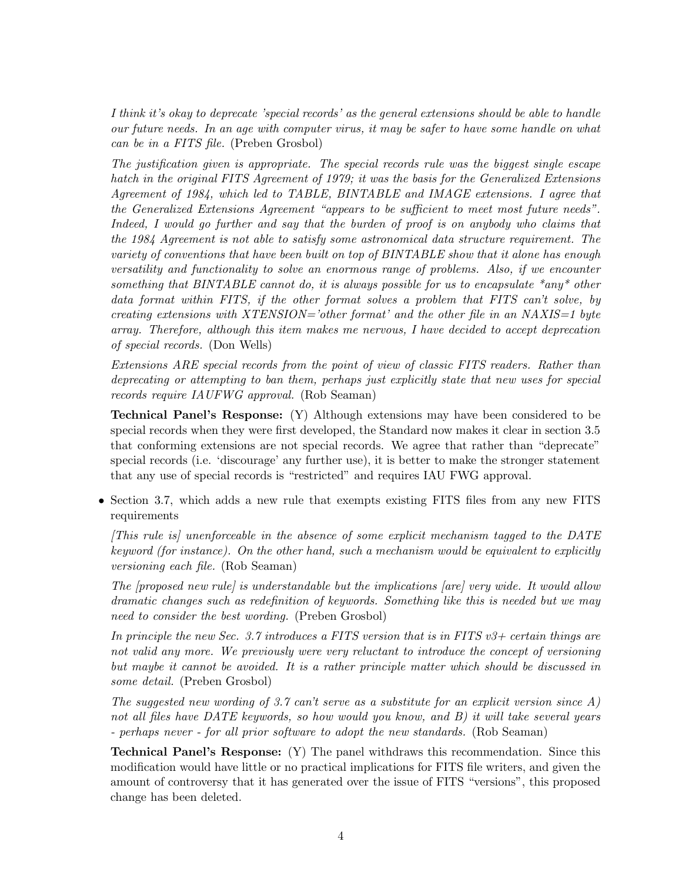I think it's okay to deprecate 'special records' as the general extensions should be able to handle our future needs. In an age with computer virus, it may be safer to have some handle on what can be in a FITS file. (Preben Grosbol)

The justification given is appropriate. The special records rule was the biggest single escape hatch in the original FITS Agreement of 1979; it was the basis for the Generalized Extensions Agreement of 1984, which led to TABLE, BINTABLE and IMAGE extensions. I agree that the Generalized Extensions Agreement "appears to be sufficient to meet most future needs". Indeed, I would go further and say that the burden of proof is on anybody who claims that the 1984 Agreement is not able to satisfy some astronomical data structure requirement. The variety of conventions that have been built on top of BINTABLE show that it alone has enough versatility and functionality to solve an enormous range of problems. Also, if we encounter something that BINTABLE cannot do, it is always possible for us to encapsulate  $*$  any  $*$  other data format within FITS, if the other format solves a problem that FITS can't solve, by creating extensions with XTENSION='other format' and the other file in an NAXIS=1 byte array. Therefore, although this item makes me nervous, I have decided to accept deprecation of special records. (Don Wells)

Extensions ARE special records from the point of view of classic FITS readers. Rather than deprecating or attempting to ban them, perhaps just explicitly state that new uses for special records require IAUFWG approval. (Rob Seaman)

Technical Panel's Response: (Y) Although extensions may have been considered to be special records when they were first developed, the Standard now makes it clear in section 3.5 that conforming extensions are not special records. We agree that rather than "deprecate" special records (i.e. 'discourage' any further use), it is better to make the stronger statement that any use of special records is "restricted" and requires IAU FWG approval.

• Section 3.7, which adds a new rule that exempts existing FITS files from any new FITS requirements

[This rule is] unenforceable in the absence of some explicit mechanism tagged to the DATE keyword (for instance). On the other hand, such a mechanism would be equivalent to explicitly versioning each file. (Rob Seaman)

The [proposed new rule] is understandable but the implications [are] very wide. It would allow dramatic changes such as redefinition of keywords. Something like this is needed but we may need to consider the best wording. (Preben Grosbol)

In principle the new Sec. 3.7 introduces a FITS version that is in FITS  $v3+$  certain things are not valid any more. We previously were very reluctant to introduce the concept of versioning but maybe it cannot be avoided. It is a rather principle matter which should be discussed in some detail. (Preben Grosbol)

The suggested new wording of 3.7 can't serve as a substitute for an explicit version since A) not all files have DATE keywords, so how would you know, and B) it will take several years - perhaps never - for all prior software to adopt the new standards. (Rob Seaman)

Technical Panel's Response: (Y) The panel withdraws this recommendation. Since this modification would have little or no practical implications for FITS file writers, and given the amount of controversy that it has generated over the issue of FITS "versions", this proposed change has been deleted.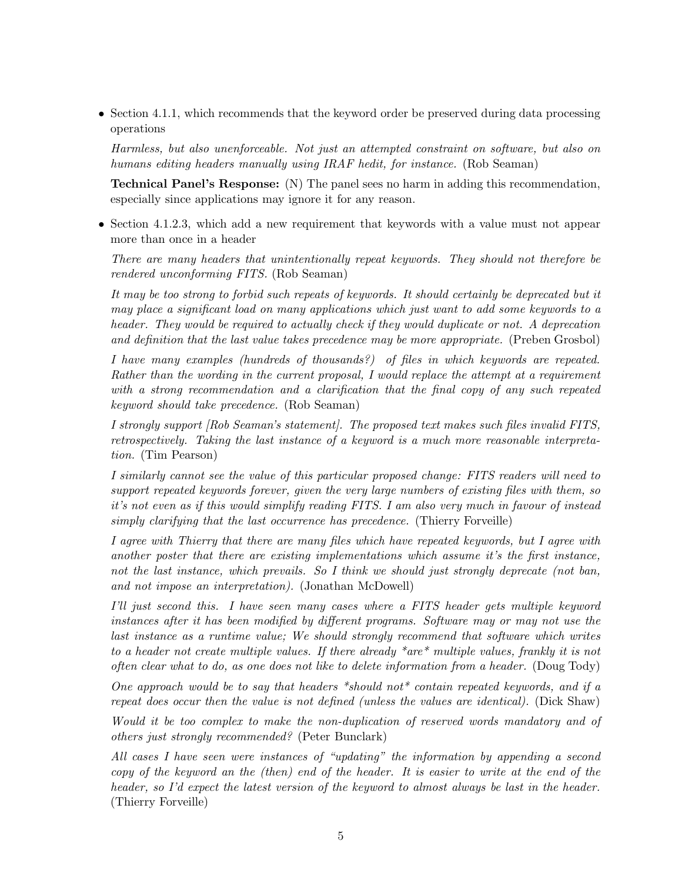• Section 4.1.1, which recommends that the keyword order be preserved during data processing operations

Harmless, but also unenforceable. Not just an attempted constraint on software, but also on humans editing headers manually using IRAF hedit, for instance. (Rob Seaman)

Technical Panel's Response: (N) The panel sees no harm in adding this recommendation, especially since applications may ignore it for any reason.

• Section 4.1.2.3, which add a new requirement that keywords with a value must not appear more than once in a header

There are many headers that unintentionally repeat keywords. They should not therefore be rendered unconforming FITS. (Rob Seaman)

It may be too strong to forbid such repeats of keywords. It should certainly be deprecated but it may place a significant load on many applications which just want to add some keywords to a header. They would be required to actually check if they would duplicate or not. A deprecation and definition that the last value takes precedence may be more appropriate. (Preben Grosbol)

I have many examples (hundreds of thousands?) of files in which keywords are repeated. Rather than the wording in the current proposal, I would replace the attempt at a requirement with a strong recommendation and a clarification that the final copy of any such repeated keyword should take precedence. (Rob Seaman)

I strongly support [Rob Seaman's statement]. The proposed text makes such files invalid FITS, retrospectively. Taking the last instance of a keyword is a much more reasonable interpretation. (Tim Pearson)

I similarly cannot see the value of this particular proposed change: FITS readers will need to support repeated keywords forever, given the very large numbers of existing files with them, so it's not even as if this would simplify reading FITS. I am also very much in favour of instead simply clarifying that the last occurrence has precedence. (Thierry Forveille)

I agree with Thierry that there are many files which have repeated keywords, but I agree with another poster that there are existing implementations which assume it's the first instance, not the last instance, which prevails. So I think we should just strongly deprecate (not ban, and not impose an interpretation). (Jonathan McDowell)

I'll just second this. I have seen many cases where a FITS header gets multiple keyword instances after it has been modified by different programs. Software may or may not use the last instance as a runtime value; We should strongly recommend that software which writes to a header not create multiple values. If there already \*are\* multiple values, frankly it is not often clear what to do, as one does not like to delete information from a header. (Doug Tody)

One approach would be to say that headers \*should not\* contain repeated keywords, and if a repeat does occur then the value is not defined (unless the values are identical). (Dick Shaw)

Would it be too complex to make the non-duplication of reserved words mandatory and of others just strongly recommended? (Peter Bunclark)

All cases I have seen were instances of "updating" the information by appending a second copy of the keyword an the (then) end of the header. It is easier to write at the end of the header, so I'd expect the latest version of the keyword to almost always be last in the header. (Thierry Forveille)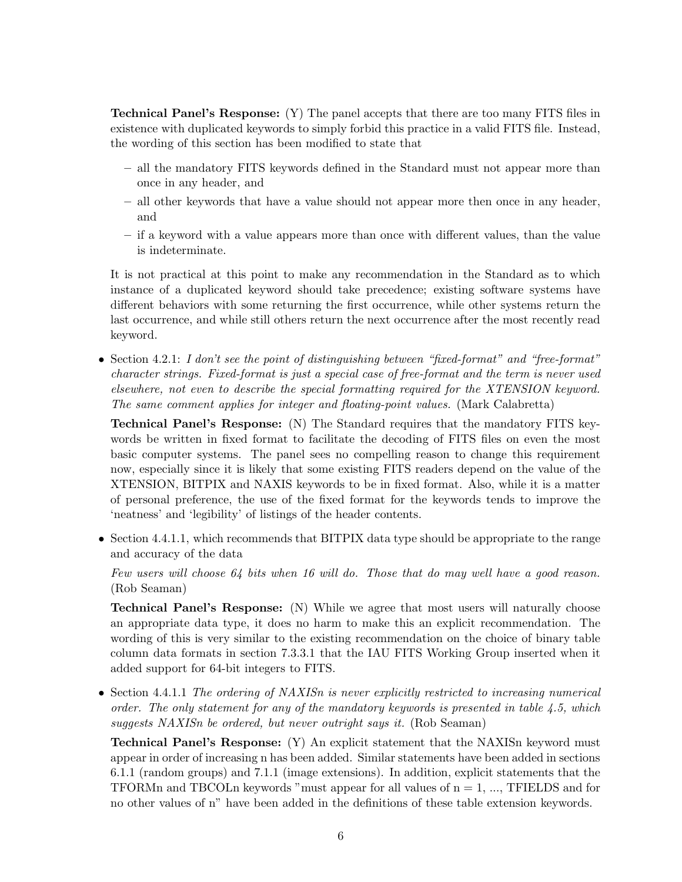Technical Panel's Response: (Y) The panel accepts that there are too many FITS files in existence with duplicated keywords to simply forbid this practice in a valid FITS file. Instead, the wording of this section has been modified to state that

- all the mandatory FITS keywords defined in the Standard must not appear more than once in any header, and
- all other keywords that have a value should not appear more then once in any header, and
- if a keyword with a value appears more than once with different values, than the value is indeterminate.

It is not practical at this point to make any recommendation in the Standard as to which instance of a duplicated keyword should take precedence; existing software systems have different behaviors with some returning the first occurrence, while other systems return the last occurrence, and while still others return the next occurrence after the most recently read keyword.

• Section 4.2.1: I don't see the point of distinguishing between "fixed-format" and "free-format" character strings. Fixed-format is just a special case of free-format and the term is never used elsewhere, not even to describe the special formatting required for the XTENSION keyword. The same comment applies for integer and floating-point values. (Mark Calabretta)

Technical Panel's Response: (N) The Standard requires that the mandatory FITS keywords be written in fixed format to facilitate the decoding of FITS files on even the most basic computer systems. The panel sees no compelling reason to change this requirement now, especially since it is likely that some existing FITS readers depend on the value of the XTENSION, BITPIX and NAXIS keywords to be in fixed format. Also, while it is a matter of personal preference, the use of the fixed format for the keywords tends to improve the 'neatness' and 'legibility' of listings of the header contents.

• Section 4.4.1.1, which recommends that BITPIX data type should be appropriate to the range and accuracy of the data

Few users will choose 64 bits when 16 will do. Those that do may well have a good reason. (Rob Seaman)

Technical Panel's Response: (N) While we agree that most users will naturally choose an appropriate data type, it does no harm to make this an explicit recommendation. The wording of this is very similar to the existing recommendation on the choice of binary table column data formats in section 7.3.3.1 that the IAU FITS Working Group inserted when it added support for 64-bit integers to FITS.

• Section 4.4.1.1 The ordering of NAXISn is never explicitly restricted to increasing numerical order. The only statement for any of the mandatory keywords is presented in table 4.5, which suggests NAXISn be ordered, but never outright says it. (Rob Seaman)

Technical Panel's Response: (Y) An explicit statement that the NAXISn keyword must appear in order of increasing n has been added. Similar statements have been added in sections 6.1.1 (random groups) and 7.1.1 (image extensions). In addition, explicit statements that the TFORMn and TBCOLn keywords "must appear for all values of  $n = 1, \ldots$ , TFIELDS and for no other values of n" have been added in the definitions of these table extension keywords.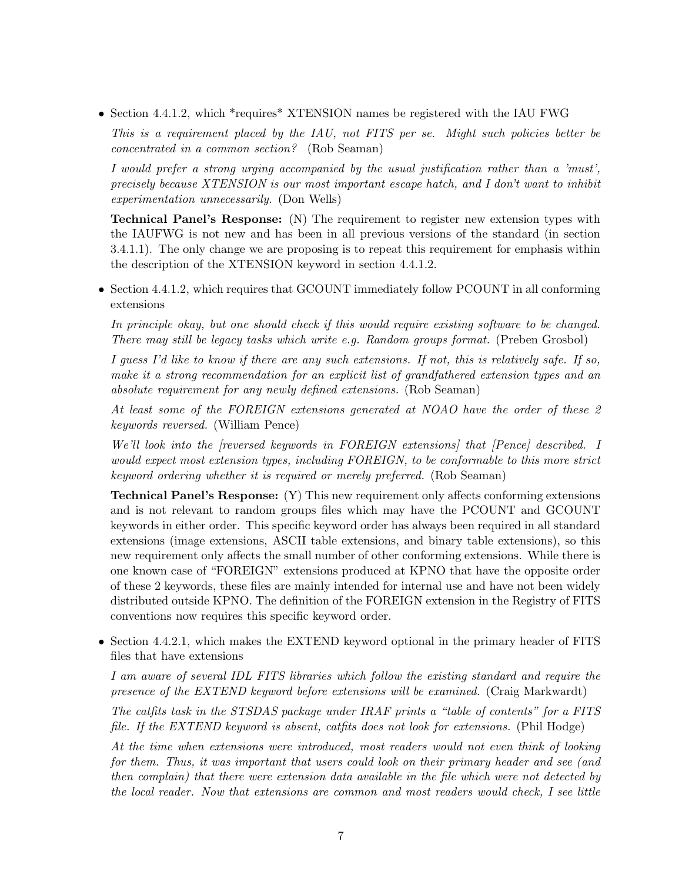• Section 4.4.1.2, which \*requires\* XTENSION names be registered with the IAU FWG

This is a requirement placed by the IAU, not FITS per se. Might such policies better be concentrated in a common section? (Rob Seaman)

I would prefer a strong urging accompanied by the usual justification rather than a 'must', precisely because XTENSION is our most important escape hatch, and I don't want to inhibit experimentation unnecessarily. (Don Wells)

Technical Panel's Response: (N) The requirement to register new extension types with the IAUFWG is not new and has been in all previous versions of the standard (in section 3.4.1.1). The only change we are proposing is to repeat this requirement for emphasis within the description of the XTENSION keyword in section 4.4.1.2.

• Section 4.4.1.2, which requires that GCOUNT immediately follow PCOUNT in all conforming extensions

In principle okay, but one should check if this would require existing software to be changed. There may still be legacy tasks which write e.g. Random groups format. (Preben Grosbol)

I guess I'd like to know if there are any such extensions. If not, this is relatively safe. If so, make it a strong recommendation for an explicit list of grandfathered extension types and an absolute requirement for any newly defined extensions. (Rob Seaman)

At least some of the FOREIGN extensions generated at NOAO have the order of these 2 keywords reversed. (William Pence)

We'll look into the [reversed keywords in FOREIGN extensions] that [Pence] described. I would expect most extension types, including FOREIGN, to be conformable to this more strict keyword ordering whether it is required or merely preferred. (Rob Seaman)

Technical Panel's Response: (Y) This new requirement only affects conforming extensions and is not relevant to random groups files which may have the PCOUNT and GCOUNT keywords in either order. This specific keyword order has always been required in all standard extensions (image extensions, ASCII table extensions, and binary table extensions), so this new requirement only affects the small number of other conforming extensions. While there is one known case of "FOREIGN" extensions produced at KPNO that have the opposite order of these 2 keywords, these files are mainly intended for internal use and have not been widely distributed outside KPNO. The definition of the FOREIGN extension in the Registry of FITS conventions now requires this specific keyword order.

• Section 4.4.2.1, which makes the EXTEND keyword optional in the primary header of FITS files that have extensions

I am aware of several IDL FITS libraries which follow the existing standard and require the presence of the EXTEND keyword before extensions will be examined. (Craig Markwardt)

The catfits task in the STSDAS package under IRAF prints a "table of contents" for a FITS file. If the EXTEND keyword is absent, catfits does not look for extensions. (Phil Hodge)

At the time when extensions were introduced, most readers would not even think of looking for them. Thus, it was important that users could look on their primary header and see (and then complain) that there were extension data available in the file which were not detected by the local reader. Now that extensions are common and most readers would check, I see little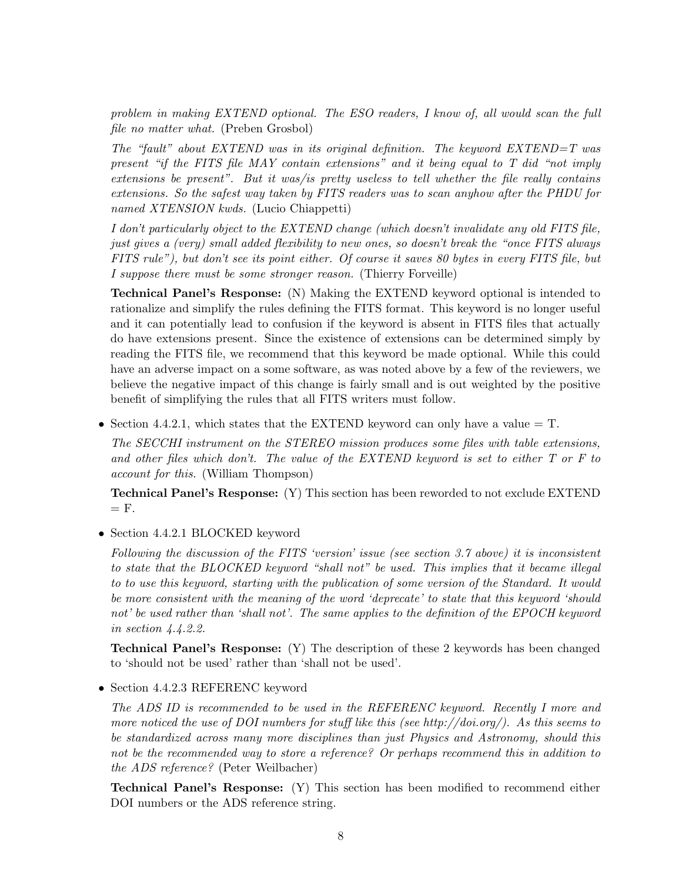problem in making EXTEND optional. The ESO readers, I know of, all would scan the full file no matter what. (Preben Grosbol)

The "fault" about EXTEND was in its original definition. The keyword EXTEND=T was present "if the FITS file MAY contain extensions" and it being equal to T did "not imply extensions be present". But it was/is pretty useless to tell whether the file really contains extensions. So the safest way taken by FITS readers was to scan anyhow after the PHDU for named XTENSION kwds. (Lucio Chiappetti)

I don't particularly object to the EXTEND change (which doesn't invalidate any old FITS file, just gives a (very) small added flexibility to new ones, so doesn't break the "once FITS always FITS rule"), but don't see its point either. Of course it saves 80 bytes in every FITS file, but I suppose there must be some stronger reason. (Thierry Forveille)

Technical Panel's Response: (N) Making the EXTEND keyword optional is intended to rationalize and simplify the rules defining the FITS format. This keyword is no longer useful and it can potentially lead to confusion if the keyword is absent in FITS files that actually do have extensions present. Since the existence of extensions can be determined simply by reading the FITS file, we recommend that this keyword be made optional. While this could have an adverse impact on a some software, as was noted above by a few of the reviewers, we believe the negative impact of this change is fairly small and is out weighted by the positive benefit of simplifying the rules that all FITS writers must follow.

• Section 4.4.2.1, which states that the EXTEND keyword can only have a value  $=$  T.

The SECCHI instrument on the STEREO mission produces some files with table extensions, and other files which don't. The value of the EXTEND keyword is set to either T or F to account for this. (William Thompson)

Technical Panel's Response: (Y) This section has been reworded to not exclude EXTEND  $=$  F.

• Section 4.4.2.1 BLOCKED keyword

Following the discussion of the FITS 'version' issue (see section 3.7 above) it is inconsistent to state that the BLOCKED keyword "shall not" be used. This implies that it became illegal to to use this keyword, starting with the publication of some version of the Standard. It would be more consistent with the meaning of the word 'deprecate' to state that this keyword 'should not' be used rather than 'shall not'. The same applies to the definition of the EPOCH keyword in section 4.4.2.2.

Technical Panel's Response: (Y) The description of these 2 keywords has been changed to 'should not be used' rather than 'shall not be used'.

• Section 4.4.2.3 REFERENC keyword

The ADS ID is recommended to be used in the REFERENC keyword. Recently I more and more noticed the use of DOI numbers for stuff like this (see http://doi.org/). As this seems to be standardized across many more disciplines than just Physics and Astronomy, should this not be the recommended way to store a reference? Or perhaps recommend this in addition to the ADS reference? (Peter Weilbacher)

Technical Panel's Response: (Y) This section has been modified to recommend either DOI numbers or the ADS reference string.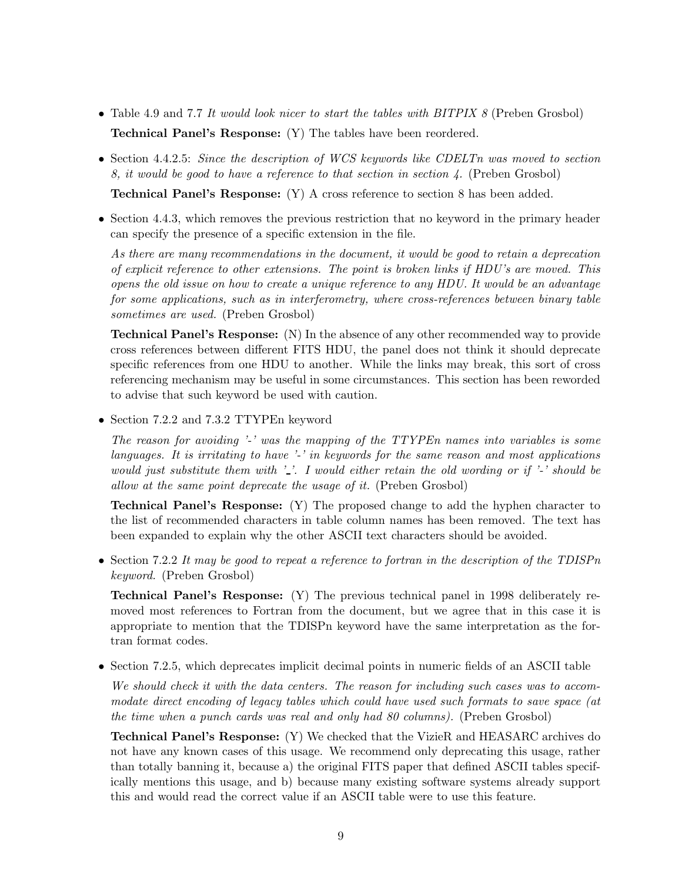- Table 4.9 and 7.7 It would look nicer to start the tables with BITPIX 8 (Preben Grosbol) Technical Panel's Response: (Y) The tables have been reordered.
- Section 4.4.2.5: Since the description of WCS keywords like CDELTn was moved to section 8, it would be good to have a reference to that section in section 4. (Preben Grosbol)

Technical Panel's Response: (Y) A cross reference to section 8 has been added.

• Section 4.4.3, which removes the previous restriction that no keyword in the primary header can specify the presence of a specific extension in the file.

As there are many recommendations in the document, it would be good to retain a deprecation of explicit reference to other extensions. The point is broken links if HDU's are moved. This opens the old issue on how to create a unique reference to any HDU. It would be an advantage for some applications, such as in interferometry, where cross-references between binary table sometimes are used. (Preben Grosbol)

Technical Panel's Response: (N) In the absence of any other recommended way to provide cross references between different FITS HDU, the panel does not think it should deprecate specific references from one HDU to another. While the links may break, this sort of cross referencing mechanism may be useful in some circumstances. This section has been reworded to advise that such keyword be used with caution.

• Section 7.2.2 and 7.3.2 TTYPEn keyword

The reason for avoiding '-' was the mapping of the TTYPEn names into variables is some languages. It is irritating to have '-' in keywords for the same reason and most applications would just substitute them with  $\cdot$ . I would either retain the old wording or if  $\cdot$  should be allow at the same point deprecate the usage of it. (Preben Grosbol)

Technical Panel's Response: (Y) The proposed change to add the hyphen character to the list of recommended characters in table column names has been removed. The text has been expanded to explain why the other ASCII text characters should be avoided.

• Section 7.2.2 It may be good to repeat a reference to fortran in the description of the TDISPn keyword. (Preben Grosbol)

Technical Panel's Response: (Y) The previous technical panel in 1998 deliberately removed most references to Fortran from the document, but we agree that in this case it is appropriate to mention that the TDISPn keyword have the same interpretation as the fortran format codes.

• Section 7.2.5, which deprecates implicit decimal points in numeric fields of an ASCII table

We should check it with the data centers. The reason for including such cases was to accommodate direct encoding of legacy tables which could have used such formats to save space (at the time when a punch cards was real and only had 80 columns). (Preben Grosbol)

Technical Panel's Response: (Y) We checked that the VizieR and HEASARC archives do not have any known cases of this usage. We recommend only deprecating this usage, rather than totally banning it, because a) the original FITS paper that defined ASCII tables specifically mentions this usage, and b) because many existing software systems already support this and would read the correct value if an ASCII table were to use this feature.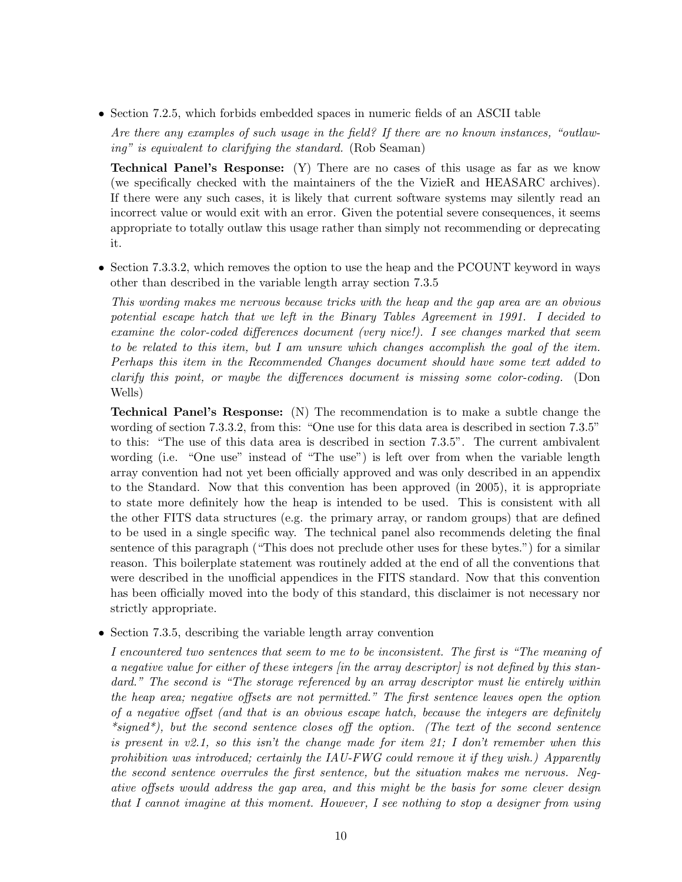• Section 7.2.5, which forbids embedded spaces in numeric fields of an ASCII table

Are there any examples of such usage in the field? If there are no known instances, "outlawing" is equivalent to clarifying the standard. (Rob Seaman)

Technical Panel's Response: (Y) There are no cases of this usage as far as we know (we specifically checked with the maintainers of the the VizieR and HEASARC archives). If there were any such cases, it is likely that current software systems may silently read an incorrect value or would exit with an error. Given the potential severe consequences, it seems appropriate to totally outlaw this usage rather than simply not recommending or deprecating it.

• Section 7.3.3.2, which removes the option to use the heap and the PCOUNT keyword in ways other than described in the variable length array section 7.3.5

This wording makes me nervous because tricks with the heap and the gap area are an obvious potential escape hatch that we left in the Binary Tables Agreement in 1991. I decided to examine the color-coded differences document (very nice!). I see changes marked that seem to be related to this item, but I am unsure which changes accomplish the goal of the item. Perhaps this item in the Recommended Changes document should have some text added to clarify this point, or maybe the differences document is missing some color-coding. (Don Wells)

Technical Panel's Response: (N) The recommendation is to make a subtle change the wording of section 7.3.3.2, from this: "One use for this data area is described in section 7.3.5" to this: "The use of this data area is described in section 7.3.5". The current ambivalent wording (i.e. "One use" instead of "The use") is left over from when the variable length array convention had not yet been officially approved and was only described in an appendix to the Standard. Now that this convention has been approved (in 2005), it is appropriate to state more definitely how the heap is intended to be used. This is consistent with all the other FITS data structures (e.g. the primary array, or random groups) that are defined to be used in a single specific way. The technical panel also recommends deleting the final sentence of this paragraph ("This does not preclude other uses for these bytes.") for a similar reason. This boilerplate statement was routinely added at the end of all the conventions that were described in the unofficial appendices in the FITS standard. Now that this convention has been officially moved into the body of this standard, this disclaimer is not necessary nor strictly appropriate.

• Section 7.3.5, describing the variable length array convention

I encountered two sentences that seem to me to be inconsistent. The first is "The meaning of a negative value for either of these integers [in the array descriptor] is not defined by this standard." The second is "The storage referenced by an array descriptor must lie entirely within the heap area; negative offsets are not permitted." The first sentence leaves open the option of a negative offset (and that is an obvious escape hatch, because the integers are definitely \*signed\*), but the second sentence closes off the option. (The text of the second sentence is present in v2.1, so this isn't the change made for item 21; I don't remember when this prohibition was introduced; certainly the  $IAU$ -FWG could remove it if they wish.) Apparently the second sentence overrules the first sentence, but the situation makes me nervous. Negative offsets would address the gap area, and this might be the basis for some clever design that I cannot imagine at this moment. However, I see nothing to stop a designer from using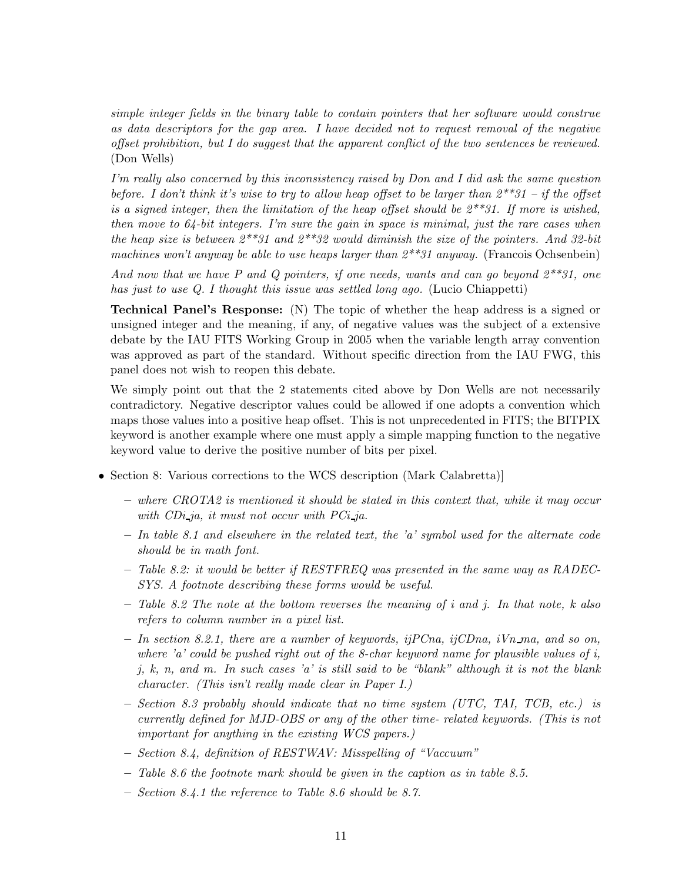simple integer fields in the binary table to contain pointers that her software would construe as data descriptors for the gap area. I have decided not to request removal of the negative offset prohibition, but I do suggest that the apparent conflict of the two sentences be reviewed. (Don Wells)

I'm really also concerned by this inconsistency raised by Don and I did ask the same question before. I don't think it's wise to try to allow heap offset to be larger than  $2^{**}31 - if$  the offset is a signed integer, then the limitation of the heap offset should be  $2^{**}31$ . If more is wished, then move to 64-bit integers. I'm sure the gain in space is minimal, just the rare cases when the heap size is between  $2^{**}31$  and  $2^{**}32$  would diminish the size of the pointers. And 32-bit machines won't anyway be able to use heaps larger than  $2^{**}31$  anyway. (Francois Ochsenbein)

And now that we have P and Q pointers, if one needs, wants and can go beyond  $2^{**}31$ , one has just to use Q. I thought this issue was settled long ago. (Lucio Chiappetti)

Technical Panel's Response: (N) The topic of whether the heap address is a signed or unsigned integer and the meaning, if any, of negative values was the subject of a extensive debate by the IAU FITS Working Group in 2005 when the variable length array convention was approved as part of the standard. Without specific direction from the IAU FWG, this panel does not wish to reopen this debate.

We simply point out that the 2 statements cited above by Don Wells are not necessarily contradictory. Negative descriptor values could be allowed if one adopts a convention which maps those values into a positive heap offset. This is not unprecedented in FITS; the BITPIX keyword is another example where one must apply a simple mapping function to the negative keyword value to derive the positive number of bits per pixel.

- Section 8: Various corrections to the WCS description (Mark Calabretta)]
	- where CROTA2 is mentioned it should be stated in this context that, while it may occur with  $CDi$ -ja, it must not occur with  $PCi$ -ja.
	- $-$  In table 8.1 and elsewhere in the related text, the 'a' symbol used for the alternate code should be in math font.
	- Table 8.2: it would be better if RESTFREQ was presented in the same way as RADEC-SYS. A footnote describing these forms would be useful.
	- $-$  Table 8.2 The note at the bottom reverses the meaning of i and j. In that note, k also refers to column number in a pixel list.
	- $-$  In section 8.2.1, there are a number of keywords, if  $P C$ na, if  $C D n$ a, i $V n$  ma, and so on, where 'a' could be pushed right out of the 8-char keyword name for plausible values of  $i$ , j, k, n, and m. In such cases 'a' is still said to be "blank" although it is not the blank character. (This isn't really made clear in Paper I.)
	- $-$  Section 8.3 probably should indicate that no time system (UTC, TAI, TCB, etc.) is currently defined for MJD-OBS or any of the other time- related keywords. (This is not important for anything in the existing WCS papers.)
	- Section 8.4, definition of RESTWAV: Misspelling of "Vaccuum"
	- $-$  Table 8.6 the footnote mark should be given in the caption as in table 8.5.
	- Section 8.4.1 the reference to Table 8.6 should be 8.7.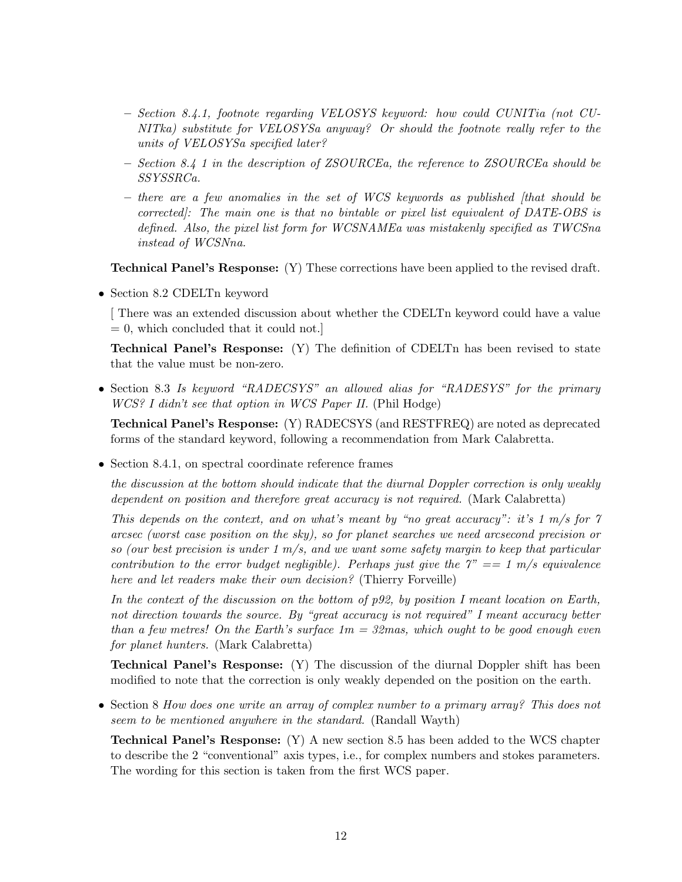- Section 8.4.1, footnote regarding VELOSYS keyword: how could CUNITia (not CU-NITka) substitute for VELOSYSa anyway? Or should the footnote really refer to the units of VELOSYSa specified later?
- Section 8.4 1 in the description of ZSOURCEa, the reference to ZSOURCEa should be SSYSSRCa.
- $-$  there are a few anomalies in the set of WCS keywords as published (that should be corrected]: The main one is that no bintable or pixel list equivalent of DATE-OBS is defined. Also, the pixel list form for WCSNAMEa was mistakenly specified as TWCSna instead of WCSNna.

Technical Panel's Response: (Y) These corrections have been applied to the revised draft.

• Section 8.2 CDELTn keyword

[ There was an extended discussion about whether the CDELTn keyword could have a value  $= 0$ , which concluded that it could not.

Technical Panel's Response: (Y) The definition of CDELTn has been revised to state that the value must be non-zero.

• Section 8.3 Is keyword "RADECSYS" an allowed alias for "RADESYS" for the primary WCS? I didn't see that option in WCS Paper II. (Phil Hodge)

Technical Panel's Response: (Y) RADECSYS (and RESTFREQ) are noted as deprecated forms of the standard keyword, following a recommendation from Mark Calabretta.

• Section 8.4.1, on spectral coordinate reference frames

the discussion at the bottom should indicate that the diurnal Doppler correction is only weakly dependent on position and therefore great accuracy is not required. (Mark Calabretta)

This depends on the context, and on what's meant by "no great accuracy": it's 1 m/s for 7 arcsec (worst case position on the sky), so for planet searches we need arcsecond precision or so (our best precision is under  $1 \, \text{m/s}$ , and we want some safety margin to keep that particular contribution to the error budget negligible). Perhaps just give the  $7" == 1$  m/s equivalence here and let readers make their own decision? (Thierry Forveille)

In the context of the discussion on the bottom of p92, by position I meant location on Earth, not direction towards the source. By "great accuracy is not required" I meant accuracy better than a few metres! On the Earth's surface  $1m = 32$  mas, which ought to be good enough even for planet hunters. (Mark Calabretta)

Technical Panel's Response: (Y) The discussion of the diurnal Doppler shift has been modified to note that the correction is only weakly depended on the position on the earth.

• Section 8 How does one write an array of complex number to a primary array? This does not seem to be mentioned anywhere in the standard. (Randall Wayth)

Technical Panel's Response: (Y) A new section 8.5 has been added to the WCS chapter to describe the 2 "conventional" axis types, i.e., for complex numbers and stokes parameters. The wording for this section is taken from the first WCS paper.